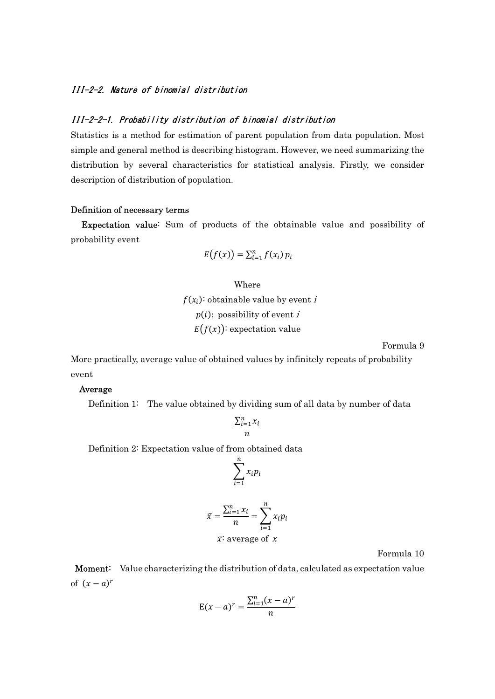## III-2-2. Nature of binomial distribution

### III-2-2-1. Probability distribution of binomial distribution

Statistics is a method for estimation of parent population from data population. Most simple and general method is describing histogram. However, we need summarizing the distribution by several characteristics for statistical analysis. Firstly, we consider description of distribution of population.

#### Definition of necessary terms

Expectation value: Sum of products of the obtainable value and possibility of probability event

$$
E(f(x)) = \sum_{i=1}^n f(x_i) p_i
$$

### Where

 $f(x_i)$ : obtainable value by event i  $p(i)$ : possibility of event i  $E(f(x))$ : expectation value

Formula 9

More practically, average value of obtained values by infinitely repeats of probability event

### Average

Definition 1: The value obtained by dividing sum of all data by number of data

$$
\frac{\sum_{i=1}^{n} x_i}{n}
$$

Definition 2: Expectation value of from obtained data

$$
\sum_{i=1}^n x_i p_i
$$

$$
\bar{x} = \frac{\sum_{i=1}^{n} x_i}{n} = \sum_{i=1}^{n} x_i p_i
$$
  

$$
\bar{x} \text{: average of } x
$$

Formula 10

Moment: Value characterizing the distribution of data, calculated as expectation value of  $(x - a)^r$ 

$$
E(x-a)^r = \frac{\sum_{i=1}^n (x-a)^r}{n}
$$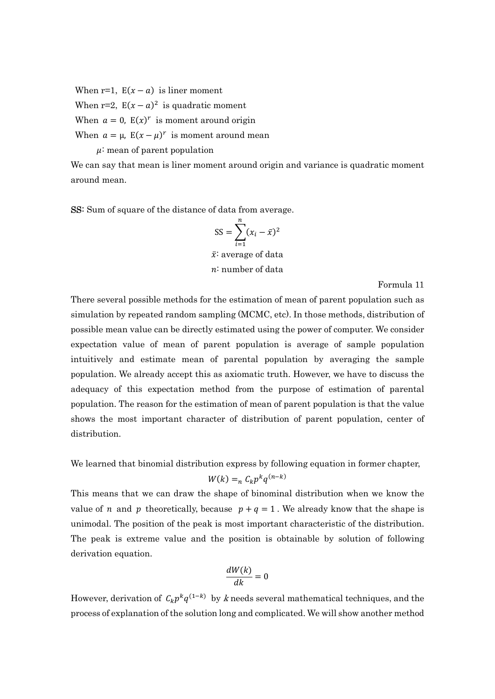When r=1,  $E(x - a)$  is liner moment

When r=2,  $E(x - a)^2$  is quadratic moment

When  $a = 0$ ,  $E(x)^r$  is moment around origin

When  $a = \mu$ ,  $E(x - \mu)^r$  is moment around mean

 $\mu$ : mean of parent population

We can say that mean is liner moment around origin and variance is quadratic moment around mean.

SS: Sum of square of the distance of data from average.

$$
SS = \sum_{i=1}^{n} (x_i - \bar{x})^2
$$

 $\bar{x}$  average of data : number of data

Formula 11

There several possible methods for the estimation of mean of parent population such as simulation by repeated random sampling (MCMC, etc). In those methods, distribution of possible mean value can be directly estimated using the power of computer. We consider expectation value of mean of parent population is average of sample population intuitively and estimate mean of parental population by averaging the sample population. We already accept this as axiomatic truth. However, we have to discuss the adequacy of this expectation method from the purpose of estimation of parental population. The reason for the estimation of mean of parent population is that the value shows the most important character of distribution of parent population, center of distribution.

We learned that binomial distribution express by following equation in former chapter,

$$
W(k) =_n C_k p^k q^{(n-k)}
$$

This means that we can draw the shape of binominal distribution when we know the value of *n* and *p* theoretically, because  $p + q = 1$ . We already know that the shape is unimodal. The position of the peak is most important characteristic of the distribution. The peak is extreme value and the position is obtainable by solution of following derivation equation.

$$
\frac{dW(k)}{dk} = 0
$$

However, derivation of  $C_k p^k q^{(1-k)}$  by k needs several mathematical techniques, and the process of explanation of the solution long and complicated. We will show another method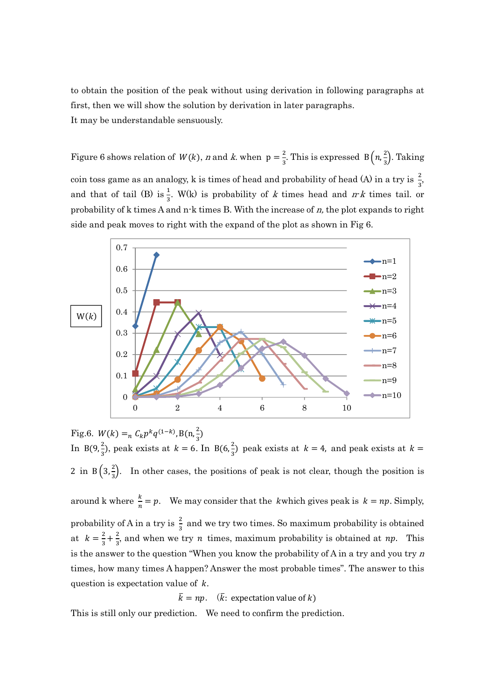to obtain the position of the peak without using derivation in following paragraphs at first, then we will show the solution by derivation in later paragraphs. It may be understandable sensuously.

Figure 6 shows relation of  $W(k)$ , n and k. when  $p = \frac{2}{3}$  $\frac{2}{3}$ . This is expressed B $\left(n,\frac{2}{3}\right)$  $\frac{2}{3}$ ). Taking coin toss game as an analogy, k is times of head and probability of head (A) in a try is  $\frac{2}{3}$ , and that of tail (B) is  $\frac{1}{3}$ . W(k) is probability of k times head and  $rk$  times tail. or probability of k times A and n-k times B. With the increase of  $n$ , the plot expands to right side and peak moves to right with the expand of the plot as shown in Fig 6.



Fig.6.  $W(k) =_n C_k p^k q^{(1-k)}$ , B(n,  $\frac{2}{3}$ ) In B(9, $\frac{2}{3}$ ), peak exists at  $k = 6$ . In B(6, $\frac{2}{3}$ ) peak exists at  $k = 4$ , and peak exists at  $k =$ 2 in  $B\left(3,\frac{2}{3}\right)$ . In other cases, the positions of peak is not clear, though the position is around k where  $\frac{k}{n} = p$ . We may consider that the *k*which gives peak is  $k = np$ . Simply, probability of A in a try is  $\frac{2}{3}$  and we try two times. So maximum probability is obtained at  $k=\frac{2}{3}$  $\frac{2}{3} + \frac{2}{3}$  $\frac{2}{3}$ , and when we try *n* times, maximum probability is obtained at *np*. This is the answer to the question "When you know the probability of A in a try and you try  $n$ times, how many times A happen? Answer the most probable times". The answer to this question is expectation value of  $k$ .

 $\bar{k} = np.$  ( $\bar{k}$ : expectation value of k)

This is still only our prediction. We need to confirm the prediction.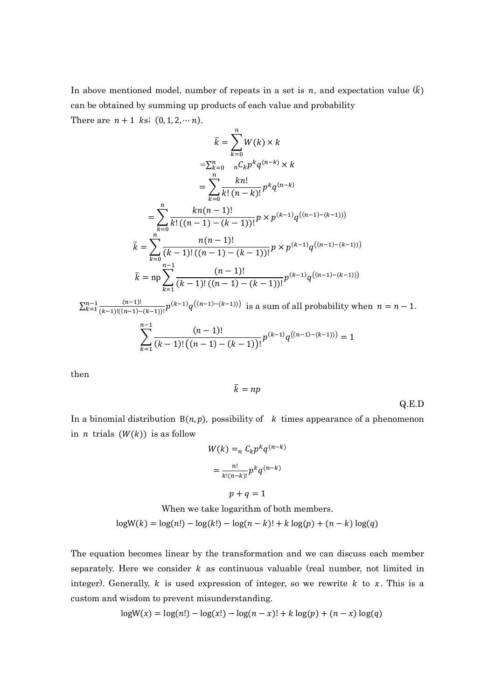In above mentioned model, number of repeats in a set is n, and expectation value  $(\overline{k})$ can be obtained by summing up products of each value and probability

There are  $n + 1$  ks;  $(0, 1, 2, \dots n)$ .

$$
\bar{k} = \sum_{k=0}^{n} W(k) \times k
$$
  
\n
$$
= \sum_{k=0}^{n} \sum_{n} C_{k} p^{k} q^{(n-k)} \times k
$$
  
\n
$$
= \sum_{k=0}^{n} \frac{k n!}{k! (n-k)!} p^{k} q^{(n-k)}
$$
  
\n
$$
= \sum_{k=0}^{n} \frac{k n (n-1)!}{k! ((n-1) - (k-1))!} p \times p^{(k-1)} q^{((n-1) - (k-1))}
$$
  
\n
$$
\bar{k} = \sum_{k=0}^{n} \frac{n (n-1)!}{(k-1)! ((n-1) - (k-1))!} p \times p^{(k-1)} q^{((n-1) - (k-1))}
$$
  
\n
$$
\bar{k} = np \sum_{k=1}^{n-1} \frac{(n-1)!}{(k-1)! ((n-1) - (k-1))!} p^{(k-1)} q^{((n-1) - (k-1))}
$$

 $\sum_{k=1}^{n-1} \frac{(n-1)!}{(k-1)!((n-1)-(k-1))!} p^{(k-1)} q^{((n-1)-(k-1))}$  is a sum of all probability when  $n = n-1$ .  $n-1$ 

$$
\sum_{k=1}^{n-1} \frac{(n-1)!}{(k-1)! \left( (n-1) - (k-1) \right)!} p^{(k-1)} q^{((n-1) - (k-1))} = 1
$$

then

$$
\bar{k}=np
$$

Q.E.D

In a binomial distribution  $B(n, p)$ , possibility of k times appearance of a phenomenon in *n* trials  $(W(k))$  is as follow

$$
W(k) =_n C_k p^k q^{(n-k)}
$$

$$
= \frac{n!}{k!(n-k)!} p^k q^{(n-k)}
$$

$$
p+q=1
$$

When we take logarithm of both members.

 $\log W(k) = \log(n!) - \log(k!) - \log(n-k)! + k \log(p) + (n-k) \log(q)$ 

The equation becomes linear by the transformation and we can discuss each member separately. Here we consider  $k$  as continuous valuable (real number, not limited in integer). Generally,  $k$  is used expression of integer, so we rewrite  $k$  to  $x$ . This is a custom and wisdom to prevent misunderstanding.

$$
log W(x) = log(n!) - log(x!) - log(n-x)! + k log(p) + (n-x) log(q)
$$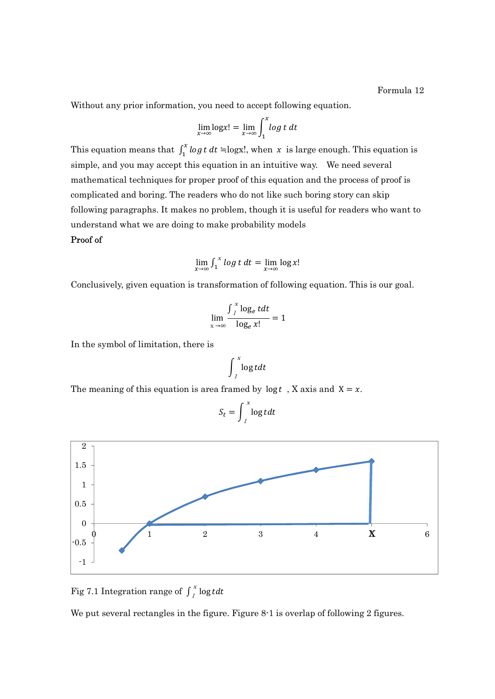Without any prior information, you need to accept following equation.

$$
\lim_{x \to \infty} \log x! = \lim_{x \to \infty} \int_1^x \log t \, dt
$$

This equation means that  $\int_1^x \log t \, dt = \log x!$ , when x is large enough. This equation is simple, and you may accept this equation in an intuitive way. We need several mathematical techniques for proper proof of this equation and the process of proof is complicated and boring. The readers who do not like such boring story can skip following paragraphs. It makes no problem, though it is useful for readers who want to understand what we are doing to make probability models

### Proof of

$$
\lim_{x \to \infty} \int_1^x \log t \, dt = \lim_{x \to \infty} \log x!
$$

Conclusively, given equation is transformation of following equation. This is our goal.

$$
\lim_{x \to \infty} \frac{\int_{I}^{x} \log_e t dt}{\log_e x!} = 1
$$

In the symbol of limitation, there is

$$
\int_{I}^{x} \log t dt
$$

The meaning of this equation is area framed by  $\log t$ , X axis and X = x.

$$
S_t = \int_{1}^{x} \log t \, dt
$$



Fig 7.1 Integration range of  $\int_{1}^{x} \log t dt$ 

We put several rectangles in the figure. Figure 8-1 is overlap of following 2 figures.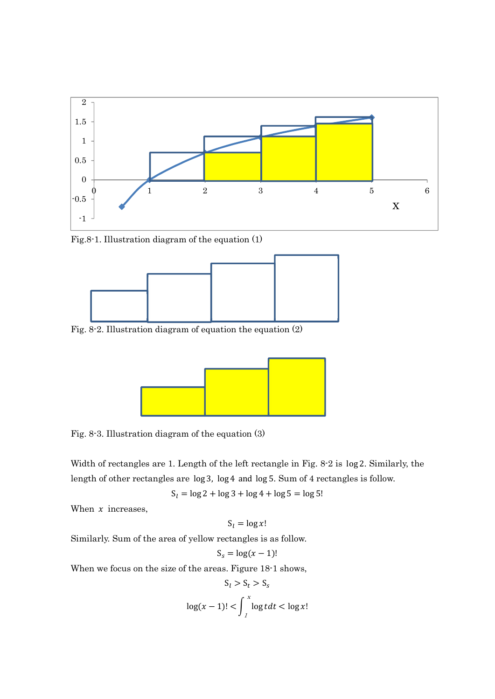

Fig.8-1. Illustration diagram of the equation (1)



Fig. 8-2. Illustration diagram of equation the equation (2)



Fig. 8-3. Illustration diagram of the equation (3)

Width of rectangles are 1. Length of the left rectangle in Fig. 8-2 is log 2. Similarly, the length of other rectangles are log 3, log 4 and log 5. Sum of 4 rectangles is follow.

 $S_l = \log 2 + \log 3 + \log 4 + \log 5 = \log 5!$ 

When  $x$  increases,

$$
S_l = \log x!
$$

Similarly. Sum of the area of yellow rectangles is as follow.

$$
S_s = \log(x-1)!
$$

When we focus on the size of the areas. Figure 18-1 shows,

$$
S_l > S_t > S_s
$$

$$
\log(x - 1)! < \int_{1}^{x} \log t dt < \log x!
$$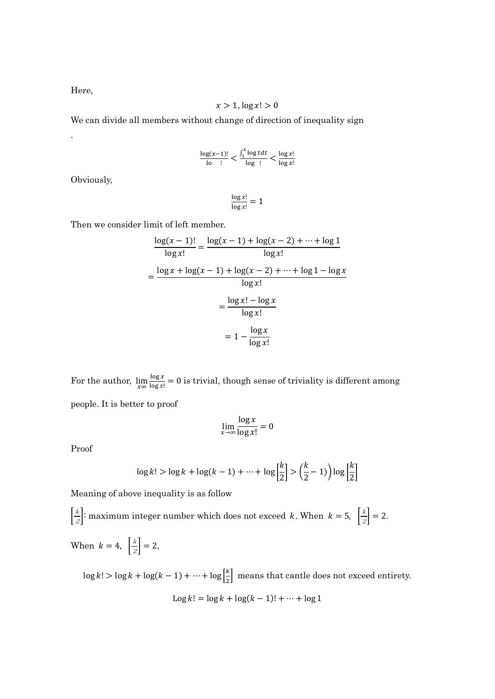Here,

.

$$
x>1, \log x! > 0
$$

We can divide all members without change of direction of inequality sign

$$
\frac{\log(x-1)!}{\log n} < \frac{\int_1^x \log t \, dt}{\log n} < \frac{\log x!}{\log x!}
$$

Obviously,

$$
\frac{\log x!}{\log x!} = 1
$$

Then we consider limit of left member.

$$
\frac{\log(x-1)!}{\log x!} = \frac{\log(x-1) + \log(x-2) + \dots + \log 1}{\log x!}
$$

$$
= \frac{\log x + \log(x-1) + \log(x-2) + \dots + \log 1 - \log x}{\log x!}
$$

$$
= \frac{\log x! - \log x}{\log x!}
$$

$$
= 1 - \frac{\log x}{\log x!}
$$

For the author,  $\lim_{x \infty} \frac{\log x}{\log x!}$  $\frac{\log x}{\log x!} = 0$  is trivial, though sense of triviality is different among people. It is better to proof

$$
\lim_{x \to \infty} \frac{\log x}{\log x!} = 0
$$

Proof

$$
\log k! > \log k + \log(k-1) + \dots + \log \left\lfloor \frac{k}{2} \right\rfloor > \left( \frac{k}{2} - 1 \right) \log \left\lfloor \frac{k}{2} \right\rfloor
$$

Meaning of above inequality is as follow

 $\left|\frac{k}{2}\right|$ : maximum integer number which does not exceed k. When  $k = 5$ ,  $\left|\frac{k}{2}\right| = 2$ . When  $k = 4$ ,  $\left| \frac{k}{2} \right| = 2$ ,

 $\log k! > \log k + \log(k - 1) + \cdots + \log \left( \frac{k}{2} \right)$  $\frac{\kappa}{2}$  means that cantle does not exceed entirety. Log  $k! = \log k + \log((k-1)! + \cdots + \log 1)$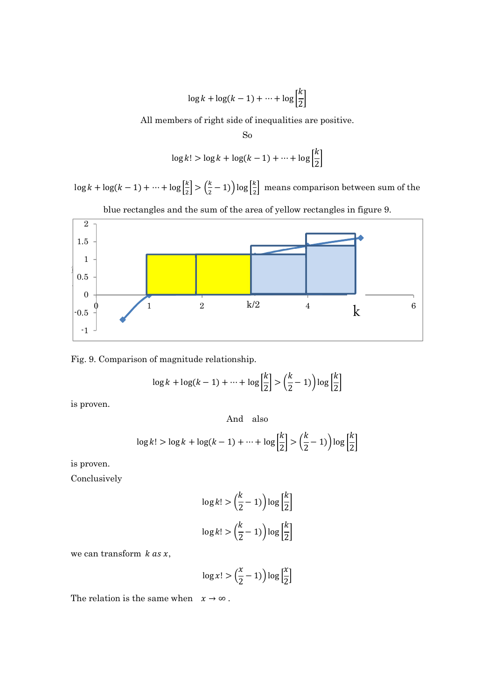$$
\log k + \log(k - 1) + \dots + \log \left[\frac{k}{2}\right]
$$

All members of right side of inequalities are positive.

So  

$$
\log k! > \log k + \log(k-1) + \dots + \log \left[\frac{k}{2}\right]
$$

 $\log k + \log(k-1) + \cdots + \log\left[\frac{k}{2}\right]$  $\left\lfloor \frac{k}{2} \right\rfloor > \left\lfloor \frac{k}{2} \right\rfloor$  $\frac{k}{2}$  – 1)  $\log \left[\frac{k}{2}\right]$  $\frac{\pi}{2}$  means comparison between sum of the





Fig. 9. Comparison of magnitude relationship.

$$
\log k + \log(k - 1) + \dots + \log\left[\frac{k}{2}\right] > \left(\frac{k}{2} - 1\right) \log\left[\frac{k}{2}\right]
$$

is proven.

And also

$$
\log k! > \log k + \log(k-1) + \dots + \log \left\lfloor \frac{k}{2} \right\rfloor > \left( \frac{k}{2} - 1 \right) \log \left\lfloor \frac{k}{2} \right\rfloor
$$

is proven.

Conclusively

$$
\log k! > \left(\frac{k}{2} - 1\right) \log \left[\frac{k}{2}\right]
$$
\n
$$
\log k! > \left(\frac{k}{2} - 1\right) \log \left[\frac{k}{2}\right]
$$

we can transform  $k$  as  $x$ ,

$$
\log x! > \left(\frac{x}{2} - 1\right) \log \left[\frac{x}{2}\right]
$$

The relation is the same when  $x \to \infty$ .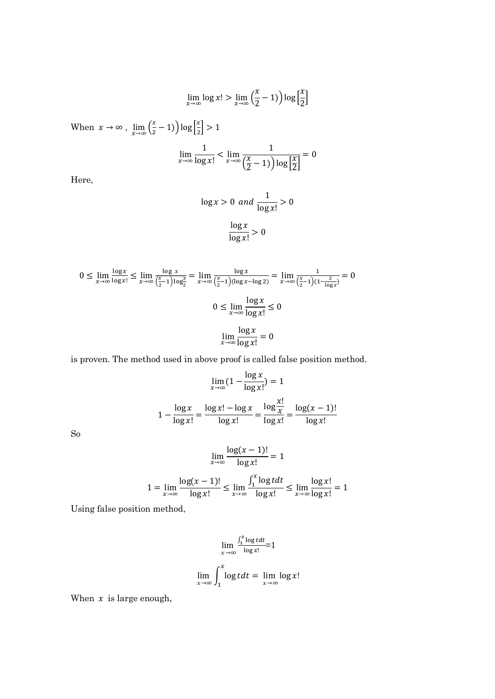$$
\lim_{x \to \infty} \log x! > \lim_{x \to \infty} \left(\frac{x}{2} - 1\right) \log \left[\frac{x}{2}\right]
$$

When  $x \to \infty$ ,  $\lim_{x \to \infty} \left(\frac{x}{2}\right)$  $\left(\frac{x}{2} - 1\right) \log \left(\frac{x}{2}\right)$  $\frac{x}{2}$  > 1

$$
\lim_{x \to \infty} \frac{1}{\log x!} < \lim_{x \to \infty} \frac{1}{\left(\frac{x}{2} - 1\right) \log \left[\frac{x}{2}\right]} = 0
$$

Here,

$$
\log x > 0 \text{ and } \frac{1}{\log x!} > 0
$$
\n
$$
\frac{\log x}{\log x!} > 0
$$

$$
0 \le \lim_{x \to \infty} \frac{\log x}{\log x!} \le \lim_{x \to \infty} \frac{\log x}{(\frac{x}{2} - 1)\log_2^x} = \lim_{x \to \infty} \frac{\log x}{(\frac{x}{2} - 1)(\log x - \log 2)} = \lim_{x \to \infty} \frac{1}{(\frac{x}{2} - 1)(1 - \frac{2}{\log x})} = 0
$$
  

$$
0 \le \lim_{x \to \infty} \frac{\log x}{\log x!} \le 0
$$
  

$$
\lim_{x \to \infty} \frac{\log x}{\log x!} = 0
$$

is proven. The method used in above proof is called false position method.

$$
\lim_{x \to \infty} (1 - \frac{\log x}{\log x!}) = 1
$$

$$
1 - \frac{\log x}{\log x!} = \frac{\log x! - \log x}{\log x!} = \frac{\log \frac{x!}{x}}{\log x!} = \frac{\log(x - 1)!}{\log x!}
$$

So

$$
\lim_{x \to \infty} \frac{\log(x - 1)!}{\log x!} = 1
$$
  

$$
1 = \lim_{x \to \infty} \frac{\log(x - 1)!}{\log x!} \le \lim_{x \to \infty} \frac{\int_1^x \log t dt}{\log x!} \le \lim_{x \to \infty} \frac{\log x!}{\log x!} = 1
$$

Using false position method,

$$
\lim_{x \to \infty} \frac{\int_1^x \log t dt}{\log x!} = 1
$$
  

$$
\lim_{x \to \infty} \int_1^x \log t dt = \lim_{x \to \infty} \log x!
$$

When  $x$  is large enough,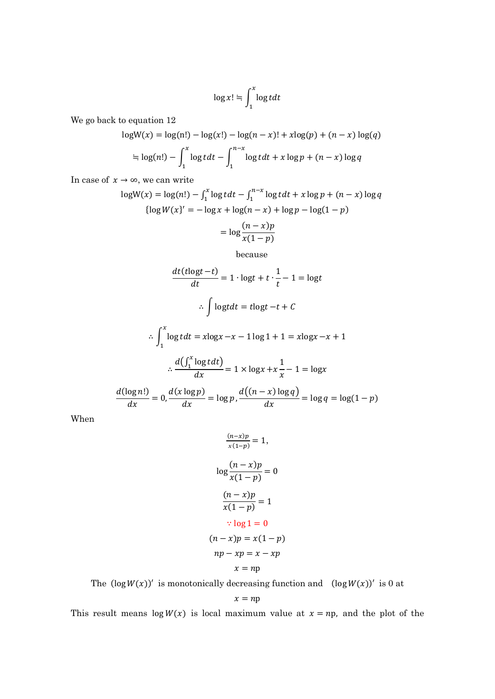$$
\log x! \stackrel{\cdot}{=} \int_1^x \log t dt
$$

We go back to equation 12

$$
logW(x) = log(n!) - log(x!) - log(n - x)! + xlog(p) + (n - x)log(q)
$$
  
= log(n!) -  $\int_{1}^{x} log t dt - \int_{1}^{n-x} log t dt + x log p + (n - x)log q$ 

In case of  $x \to \infty$ , we can write

$$
logW(x) = log(n!) - \int_1^x log t dt - \int_1^{n-x} log t dt + x log p + (n - x) log q
$$
  
\n
$$
\{log W(x)' = -log x + log(n - x) + log p - log(1 - p)
$$
  
\n
$$
= log \frac{(n - x)p}{x(1 - p)}
$$

because

$$
\frac{dt(t\log t - t)}{dt} = 1 \cdot \log t + t \cdot \frac{1}{t} - 1 = \log t
$$
  

$$
\therefore \int \log t dt = t\log t - t + C
$$
  

$$
\therefore \int_{1}^{x} \log t dt = x\log x - x - 1\log 1 + 1 = x\log x - x + 1
$$
  

$$
\therefore \frac{d(\int_{1}^{x} \log t dt)}{dx} = 1 \times \log x + x \frac{1}{x} - 1 = \log x
$$
  

$$
\frac{d(\log n!)}{dx} = 0, \frac{d(x\log p)}{dx} = \log p, \frac{d((n - x)\log q)}{dx} = \log q = \log(1 - p)
$$

When

$$
\frac{(n-x)p}{x(1-p)} = 1,
$$
  

$$
\log \frac{(n-x)p}{x(1-p)} = 0
$$
  

$$
\frac{(n-x)p}{x(1-p)} = 1
$$
  

$$
\therefore \log 1 = 0
$$
  

$$
(n-x)p = x(1-p)
$$
  

$$
np - xp = x - xp
$$
  

$$
x = np
$$

The  $(\log W(x))'$  is monotonically decreasing function and  $(\log W(x))'$  is 0 at

$$
x = np
$$

This result means  $\log W(x)$  is local maximum value at  $x = np$ , and the plot of the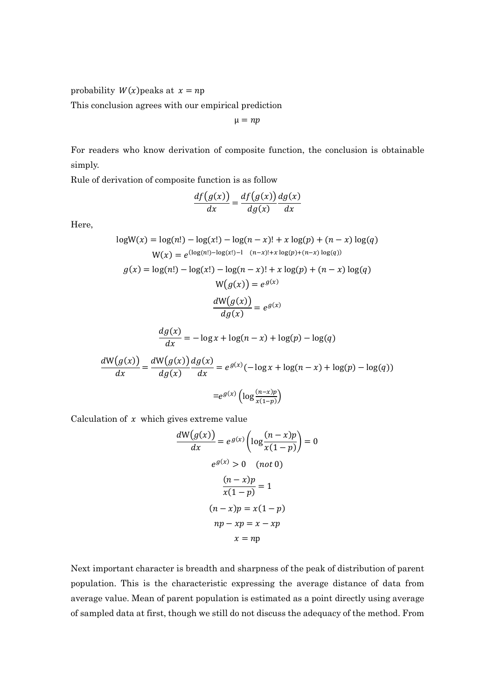probability  $W(x)$  peaks at  $x = np$ 

This conclusion agrees with our empirical prediction

 $\mu = np$ 

For readers who know derivation of composite function, the conclusion is obtainable simply.

Rule of derivation of composite function is as follow

$$
\frac{df(g(x))}{dx} = \frac{df(g(x))}{dg(x)}\frac{dg(x)}{dx}
$$

Here,

$$
logW(x) = log(n!) - log(x!) - log(n-x)! + x log(p) + (n-x) log(q)
$$
  
W(x) =  $e^{(log(n!) - log(x!)-1 - (n-x)! + x log(p) + (n-x) log(q))}$ 

$$
g(x) = \log(n!) - \log(x!) - \log(n-x)! + x \log(p) + (n-x) \log(q)
$$

$$
W(g(x)) = e^{g(x)}
$$

$$
\frac{dW(g(x))}{dg(x)} = e^{g(x)}
$$

$$
\frac{dg(x)}{dx} = -\log x + \log(n - x) + \log(p) - \log(q)
$$

$$
\frac{dW(g(x))}{dx} = \frac{dW(g(x))}{dg(x)} \frac{dg(x)}{dx} = e^{g(x)}(-\log x + \log(n - x) + \log(p) - \log(q))
$$

$$
= e^{g(x)} \left(\log \frac{(n - x)p}{x(1 - p)}\right)
$$

Calculation of  $x$  which gives extreme value

$$
\frac{dW(g(x))}{dx} = e^{g(x)} \left( \log \frac{(n-x)p}{x(1-p)} \right) = 0
$$

$$
e^{g(x)} > 0 \quad (not \ 0)
$$

$$
\frac{(n-x)p}{x(1-p)} = 1
$$

$$
(n-x)p = x(1-p)
$$

$$
np - xp = x - xp
$$

$$
x = np
$$

Next important character is breadth and sharpness of the peak of distribution of parent population. This is the characteristic expressing the average distance of data from average value. Mean of parent population is estimated as a point directly using average of sampled data at first, though we still do not discuss the adequacy of the method. From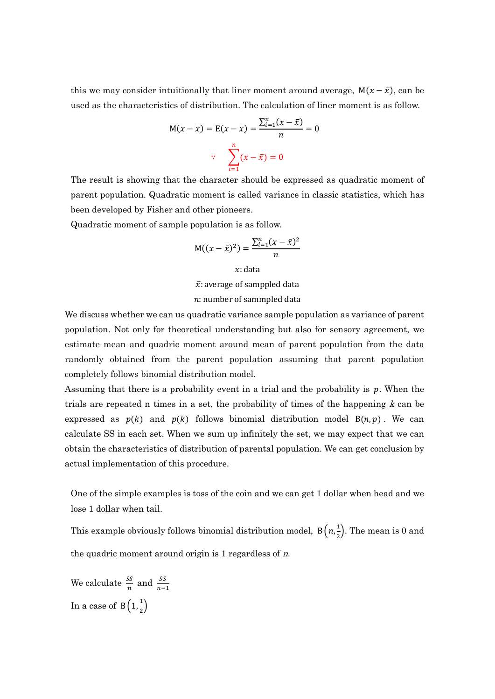this we may consider intuitionally that liner moment around average,  $M(x - \bar{x})$ , can be used as the characteristics of distribution. The calculation of liner moment is as follow.

$$
M(x - \bar{x}) = E(x - \bar{x}) = \frac{\sum_{i=1}^{n} (x - \bar{x})}{n} = 0
$$
  

$$
\therefore \quad \sum_{i=1}^{n} (x - \bar{x}) = 0
$$

The result is showing that the character should be expressed as quadratic moment of parent population. Quadratic moment is called variance in classic statistics, which has been developed by Fisher and other pioneers.

Quadratic moment of sample population is as follow.

$$
M((x-\bar{x})^2) = \frac{\sum_{i=1}^{n} (x-\bar{x})^2}{n}
$$

 $x:$  data

 $\bar{x}$ : average of samppled data

#### $n:$  number of sammpled data

We discuss whether we can us quadratic variance sample population as variance of parent population. Not only for theoretical understanding but also for sensory agreement, we estimate mean and quadric moment around mean of parent population from the data randomly obtained from the parent population assuming that parent population completely follows binomial distribution model.

Assuming that there is a probability event in a trial and the probability is  $p$ . When the trials are repeated n times in a set, the probability of times of the happening  $k$  can be expressed as  $p(k)$  and  $p(k)$  follows binomial distribution model  $B(n, p)$ . We can calculate SS in each set. When we sum up infinitely the set, we may expect that we can obtain the characteristics of distribution of parental population. We can get conclusion by actual implementation of this procedure.

One of the simple examples is toss of the coin and we can get 1 dollar when head and we lose 1 dollar when tail.

This example obviously follows binomial distribution model,  $B\left(n,\frac{1}{2}\right)$  $\frac{1}{2}$ ). The mean is 0 and the quadric moment around origin is  $1$  regardless of  $n$ .

We calculate  $\frac{SS}{n}$  and  $\frac{SS}{n-1}$ In a case of  $B\left(1,\frac{1}{2}\right)$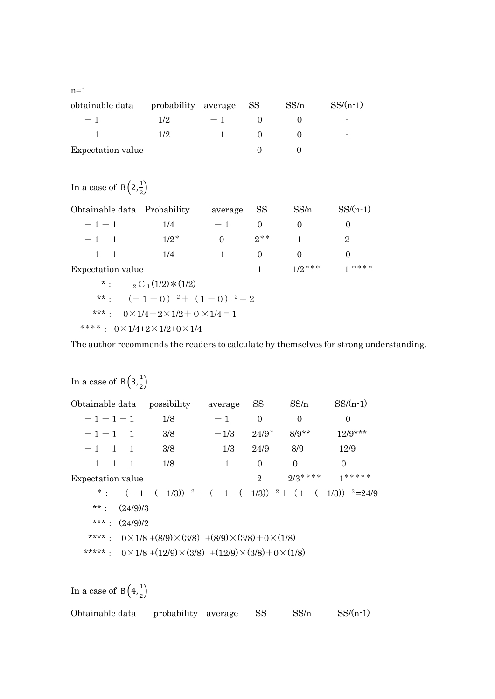| obtainable data   | probability average |      | -SS | SS/n | $SS/(n-1)$               |
|-------------------|---------------------|------|-----|------|--------------------------|
| $-1$              | 1/2                 | $-1$ |     |      |                          |
|                   | 179                 |      |     |      | $\overline{\phantom{0}}$ |
| Expectation value |                     |      |     |      |                          |

In a case of  $B\left(2,\frac{1}{2}\right)$ 

n=1

| Obtainable data Probability                           |                                                    | average  | SS <sub>3</sub> | SS/n      | $SS/(n-1)$    |  |  |  |
|-------------------------------------------------------|----------------------------------------------------|----------|-----------------|-----------|---------------|--|--|--|
| $-1-1$                                                | 1/4                                                | $-1$     | $\Omega$        | $\Omega$  | $\Omega$      |  |  |  |
| $-1$ 1                                                | $1/2^*$                                            | $\Omega$ | $2^{**}$        | 1         | 2             |  |  |  |
|                                                       | 1/4                                                |          | $\theta$        | $\theta$  | $\theta$      |  |  |  |
| Expectation value                                     |                                                    |          |                 | $1/2$ *** | $1 * * * * *$ |  |  |  |
|                                                       | *: ${}_{2}C_{1}(1/2)*(1/2)$                        |          |                 |           |               |  |  |  |
|                                                       | **: $(-1-0)$ $2+ (1-0)$ $2=2$                      |          |                 |           |               |  |  |  |
| ***: $0 \times 1/4 + 2 \times 1/2 + 0 \times 1/4 = 1$ |                                                    |          |                 |           |               |  |  |  |
|                                                       | ****: $0 \times 1/4 + 2 \times 1/2 + 0 \times 1/4$ |          |                 |           |               |  |  |  |

The author recommends the readers to calculate by themselves for strong understanding.

# In a case of  $B\left(3,\frac{1}{2}\right)$ Obtainable data possibility average  $SS$   $SS/n$   $SS/(n-1)$  $-1-1-1$  1/8  $-1$  0 0 0  $-1-1$  1 3/8  $-1/3$   $24/9^*$   $8/9^{**}$   $12/9^{***}$  $-1$  1 1 3/8 1/3 24/9 8/9 12/9 1 1 1 1/8 1 0 0 0 Expectation value  $2^3$ \*:  $(-1-(-1/3))$   $2+(-1-(-1/3))$   $2+(-1-(-1/3))$   $2=24/9$ \*\*:  $(24/9)/3$ \*\*\*:  $(24/9)/2$ \*\*\*\*:  $0 \times 1/8 + (8/9) \times (3/8) + (8/9) \times (3/8) + 0 \times (1/8)$ \*\*\*\*\*:  $0 \times 1/8 + (12/9) \times (3/8) + (12/9) \times (3/8) + 0 \times (1/8)$

In a case of  $B\left(4, \frac{1}{2}\right)$ 

| Obtainable data | probability average |  |  | SS/n | $SS/(n-1)$ |
|-----------------|---------------------|--|--|------|------------|
|-----------------|---------------------|--|--|------|------------|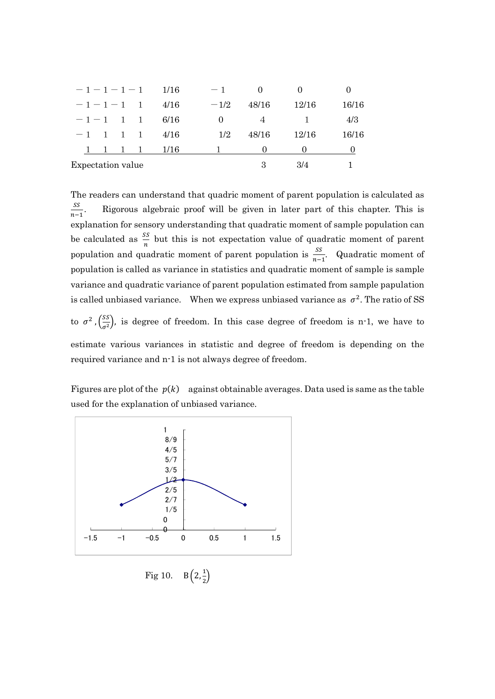|                   |  | $-1-1-1-1$ 1/16 | $-1$     |       |       | $\theta$ |
|-------------------|--|-----------------|----------|-------|-------|----------|
| $-1-1-1$ 1        |  | 4/16            | $-1/2$   | 48/16 | 12/16 | 16/16    |
| $-1-1$ 1 1        |  | -6/16           | $\Omega$ |       |       | 4/3      |
|                   |  | $-1$ 1 1 1 4/16 | 1/2      | 48/16 | 12/16 | 16/16    |
|                   |  | 1 1 1/16        |          |       |       |          |
| Expectation value |  |                 |          | З     | 3/4   |          |

The readers can understand that quadric moment of parent population is calculated as ௌௌ  $n-1$ . Rigorous algebraic proof will be given in later part of this chapter. This is explanation for sensory understanding that quadratic moment of sample population can be calculated as  $\frac{ss}{n}$  but this is not expectation value of quadratic moment of parent population and quadratic moment of parent population is  $\frac{SS}{n-1}$ . Quadratic moment of population is called as variance in statistics and quadratic moment of sample is sample variance and quadratic variance of parent population estimated from sample papulation is called unbiased variance. When we express unbiased variance as  $\sigma^2$ . The ratio of SS to  $\sigma^2$ ,  $\left(\frac{SS}{\sigma^2}\right)$ , is degree of freedom. In this case degree of freedom is n-1, we have to estimate various variances in statistic and degree of freedom is depending on the required variance and n-1 is not always degree of freedom.

Figures are plot of the  $p(k)$  against obtainable averages. Data used is same as the table used for the explanation of unbiased variance.



Fig 10.  $B\left(2, \frac{1}{2}\right)$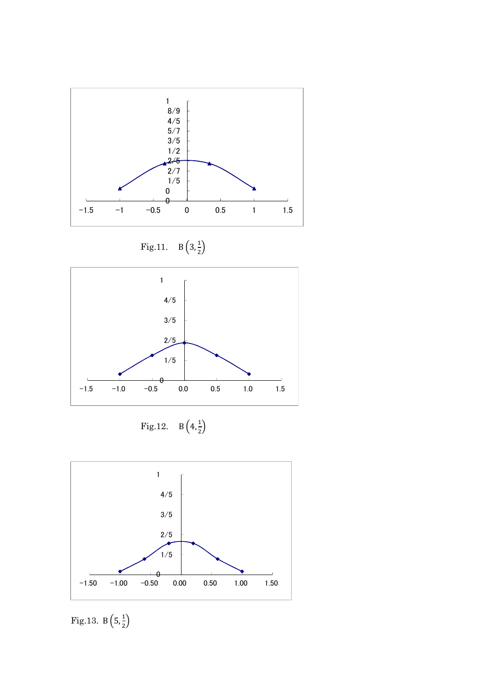

$$
Fig.11. \quad B\left(3,\frac{1}{2}\right)
$$



$$
Fig. 12. \quad B\left(4, \frac{1}{2}\right)
$$



Fig.13. B $(5, \frac{1}{2})$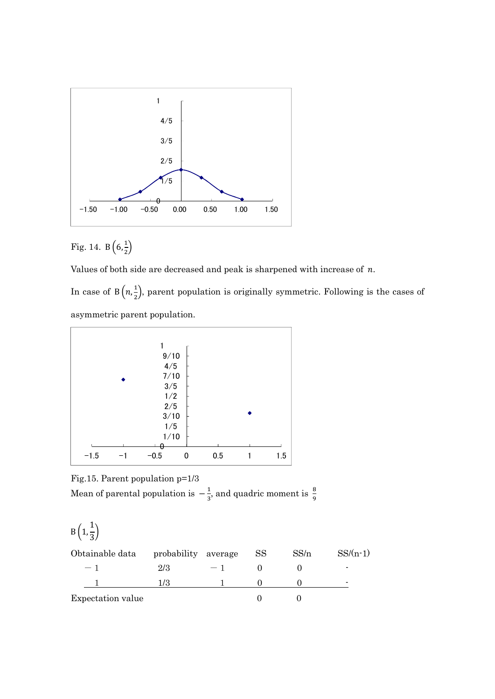

# Fig. 14.  $B\left(6, \frac{1}{2}\right)$

Values of both side are decreased and peak is sharpened with increase of  $n$ .

In case of  $B(n,\frac{1}{2})$  $\frac{1}{2}$ , parent population is originally symmetric. Following is the cases of asymmetric parent population.



Fig.15. Parent population p=1/3 Mean of parental population is  $-\frac{1}{2}$  $\frac{1}{3}$ , and quadric moment is  $\frac{8}{9}$ 

$$
B\left(1,\frac{1}{3}\right)
$$

| Obtainable data   | probability average |      | SS | SS/n | $SS/(n-1)$               |
|-------------------|---------------------|------|----|------|--------------------------|
| $\sim$ $\sim$     | 2/3                 | $-1$ |    |      | $\overline{\phantom{0}}$ |
|                   |                     |      |    |      | $\overline{\phantom{0}}$ |
| Expectation value |                     |      |    |      |                          |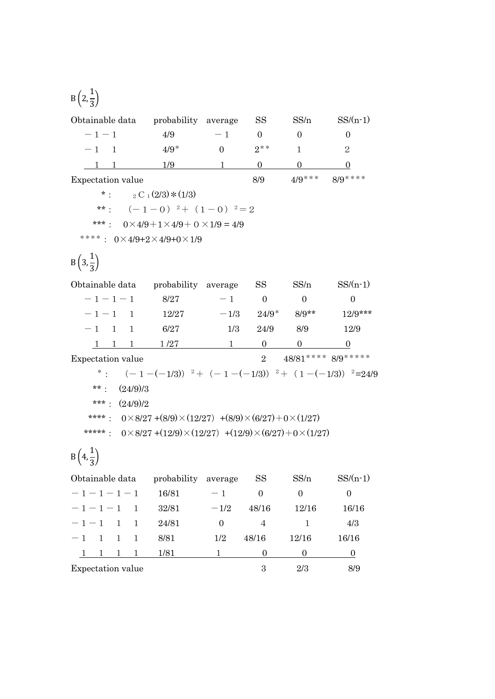$$
B\left(2,\frac{1}{3}\right)
$$

| Obtainable data    probability    average                                               |                                |                  | <b>SS</b>          | SS/n                              | $SS/(n-1)$                                                   |
|-----------------------------------------------------------------------------------------|--------------------------------|------------------|--------------------|-----------------------------------|--------------------------------------------------------------|
| $-1-1$                                                                                  | 4/9                            | $-1$             | $\sim$ 0           | $\overline{0}$                    | $\overline{0}$                                               |
| $-1$ 1                                                                                  | $4/9*$                         | $\Omega$         | $2**$              | $\mathbf{1}$                      | 2                                                            |
| $1 \quad 1 \quad 1/9$                                                                   |                                | $1 \quad \cdots$ | $\overline{0}$     | $\mathbf{0}$                      | $\mathbf{0}$                                                 |
| Expectation value                                                                       |                                |                  | 8/9                |                                   | $4/9***$ 8/9****                                             |
| *: ${}_{2}C_{1}(2/3)*(1/3)$                                                             |                                |                  |                    |                                   |                                                              |
|                                                                                         | **: $(-1-0)^2$ + $(1-0)^2$ = 2 |                  |                    |                                   |                                                              |
| ***: $0 \times 4/9 + 1 \times 4/9 + 0 \times 1/9 = 4/9$                                 |                                |                  |                    |                                   |                                                              |
| ****: $0 \times 4/9 + 2 \times 4/9 + 0 \times 1/9$                                      |                                |                  |                    |                                   |                                                              |
| $B\left(3,\frac{1}{3}\right)$                                                           |                                |                  |                    |                                   |                                                              |
| Obtainable data    probability    average    SS                                         |                                |                  |                    | SS/n                              | $SS/(n-1)$                                                   |
| $-1-1-1$ 8/27                                                                           |                                |                  | $-1$ 0             | $\overline{0}$                    | $\overline{0}$                                               |
| $-1-1$ 1 12/27 $-1/3$ 24/9 <sup>*</sup> 8/9 <sup>**</sup>                               |                                |                  |                    |                                   | $12/9***$                                                    |
| $-1$ 1 1                                                                                | 6/27                           | 1/3              |                    | 24/9 8/9                          | 12/9                                                         |
| $1 \quad 1 \quad 1 \quad 1/27$ 1 0 0                                                    |                                |                  |                    |                                   |                                                              |
| Expectation value                                                                       |                                |                  | $\overline{2}$     |                                   | $48/81***$ 8/9*****                                          |
|                                                                                         |                                |                  |                    |                                   | *: $(-1-(-1/3))$ $^2+(-1-(-1/3))$ $^2+(-1-(-1/3))$ $^2=24/9$ |
| (24/9)/3<br>$***$ .                                                                     |                                |                  |                    |                                   |                                                              |
| ***: $(24/9)/2$                                                                         |                                |                  |                    |                                   |                                                              |
| ****: $0 \times 8/27 + (8/9) \times (12/27) + (8/9) \times (6/27) + 0 \times (1/27)$    |                                |                  |                    |                                   |                                                              |
| *****: $0 \times 8/27 + (12/9) \times (12/27) + (12/9) \times (6/27) + 0 \times (1/27)$ |                                |                  |                    |                                   |                                                              |
| $B\left(4,\frac{1}{3}\right)$                                                           |                                |                  |                    |                                   |                                                              |
| Obtainable data    probability    average    SS                                         |                                |                  |                    | SS/n                              | $SS/(n-1)$                                                   |
| $-1-1-1-1$ 16/81                                                                        |                                | $-1$ 0           |                    | $\begin{array}{cc} 0 \end{array}$ | $\overline{0}$                                               |
| $-1-1-1$ 1 32/81                                                                        |                                |                  | $-1/2$ 48/16 12/16 |                                   | 16/16                                                        |
| $-1-1$<br>$\mathbf{1}$<br>$\overline{1}$                                                | 24/81                          | $\overline{0}$   | $\overline{4}$     | $\overline{1}$                    | 4/3                                                          |
| $-1$ 1<br>$\overline{1}$<br>$\mathbf{1}$                                                | 8/81                           | 1/2              | 48/16              | 12/16                             | 16/16                                                        |

1 1 1 1 1 1/81 1 1 0 0 0 0 0

Expectation value  $3$   $2/3$   $8/9$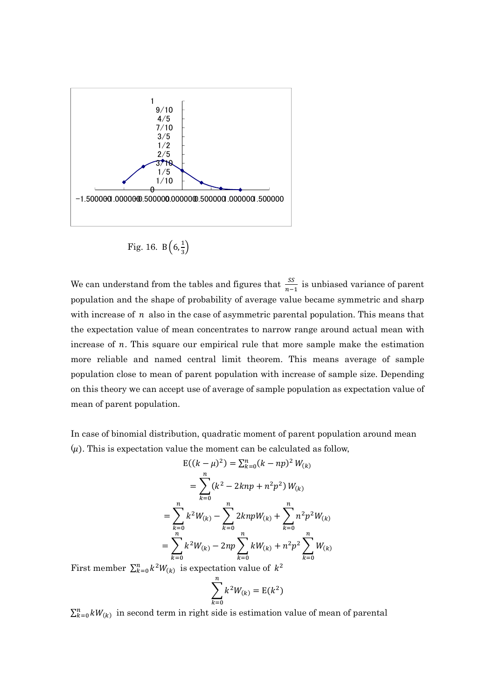

Fig. 16.  $B\left(6, \frac{1}{3}\right)$ 

We can understand from the tables and figures that  $\frac{SS}{n-1}$  is unbiased variance of parent population and the shape of probability of average value became symmetric and sharp with increase of  $n$  also in the case of asymmetric parental population. This means that the expectation value of mean concentrates to narrow range around actual mean with increase of  $n$ . This square our empirical rule that more sample make the estimation more reliable and named central limit theorem. This means average of sample population close to mean of parent population with increase of sample size. Depending on this theory we can accept use of average of sample population as expectation value of mean of parent population.

In case of binomial distribution, quadratic moment of parent population around mean  $(\mu)$ . This is expectation value the moment can be calculated as follow,

$$
E((k - \mu)^2) = \sum_{k=0}^{n} (k - np)^2 W_{(k)}
$$
  
= 
$$
\sum_{k=0}^{n} (k^2 - 2knp + n^2p^2) W_{(k)}
$$
  
= 
$$
\sum_{k=0}^{n} k^2 W_{(k)} - \sum_{k=0}^{n} 2knpW_{(k)} + \sum_{k=0}^{n} n^2p^2W_{(k)}
$$
  
= 
$$
\sum_{k=0}^{n} k^2 W_{(k)} - 2np \sum_{k=0}^{n} kW_{(k)} + n^2p^2 \sum_{k=0}^{n} W_{(k)}
$$

First member  $\sum_{k=0}^{n} k^2 W_{(k)}$  is expectation value of  $k^2$ 

$$
\sum_{k=0}^{n} k^2 W_{(k)} = \mathrm{E}(k^2)
$$

 $\sum_{k=0}^{n} kW_{(k)}$  in second term in right side is estimation value of mean of parental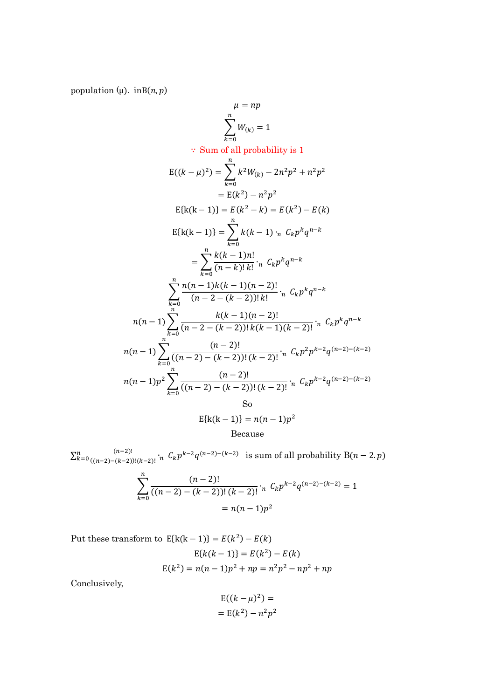population ( $\mu$ ). inB( $n, p$ )

$$
\mu = np
$$
\n
$$
\sum_{k=0}^{n} W_{(k)} = 1
$$
\n
$$
\therefore \text{ Sum of all probability is 1}
$$
\n
$$
E((k - \mu)^2) = \sum_{k=0}^{n} k^2 W_{(k)} - 2n^2 p^2 + n^2 p^2
$$
\n
$$
= E(k^2) - n^2 p^2
$$
\n
$$
= E(k^2) - n^2 p^2
$$
\n
$$
E\{k(k-1)\} = E(k^2 - k) = E(k^2) - E(k)
$$
\n
$$
E\{k(k-1)\} = \sum_{k=0}^{n} k(k-1) \cdot n \cdot C_k p^k q^{n-k}
$$
\n
$$
= \sum_{k=0}^{n} \frac{k(k-1)n!}{(n-k)!k!} \cdot n \cdot C_k p^k q^{n-k}
$$
\n
$$
\sum_{k=0}^{n} \frac{n(n-1)k(k-1)(n-2)!}{(n-2 - (k-2))!k!} \cdot n \cdot C_k p^k q^{n-k}
$$
\n
$$
n(n-1) \sum_{k=0}^{n} \frac{k(k-1)(n-2)!}{(n-2 - (k-2))!k(k-1)(k-2)!} \cdot n \cdot C_k p^k q^{n-k}
$$
\n
$$
n(n-1) \sum_{k=0}^{n} \frac{(n-2)!}{((n-2) - (k-2))! (k-2)!} \cdot n \cdot C_k p^2 p^{k-2} q^{(n-2) - (k-2)}
$$
\n
$$
n(n-1) p^2 \sum_{k=0}^{n} \frac{(n-2)!}{((n-2) - (k-2))! (k-2)!} \cdot n \cdot C_k p^{k-2} q^{(n-2) - (k-2)}
$$
\nSo\n
$$
E\{k(k-1)\} = n(n-1) p^2
$$
\nBecause

 $\sum_{k=0}^{n} \frac{(n-2)!}{(n-2)(n-2)!}$  $((n-2)-(k-2))!(k-2)!$  $\sum_{k=0}^{n} \frac{(n-2)!}{((n-2)-(k-2))! (k-2)!}$  'n  $C_k p^{k-2} q^{(n-2)-(k-2)}$  is sum of all probability  $B(n-2, p)$ 

$$
\sum_{k=0}^{n} \frac{(n-2)!}{((n-2)-(k-2))!(k-2)!} \cdot {}_{n}C_{k}p^{k-2}q^{(n-2)-(k-2)} = 1
$$

$$
= n(n-1)p^{2}
$$

Put these transform to  $E{k(k-1)} = E(k^2) - E(k)$  $E{k(k-1)} = E(k^2) - E(k)$  $E(k^2) = n(n-1)p^2 + np = n^2p^2 - np^2 + np$ 

Conclusively,

$$
E((k - \mu)^2) =
$$

$$
= E(k^2) - n^2 p^2
$$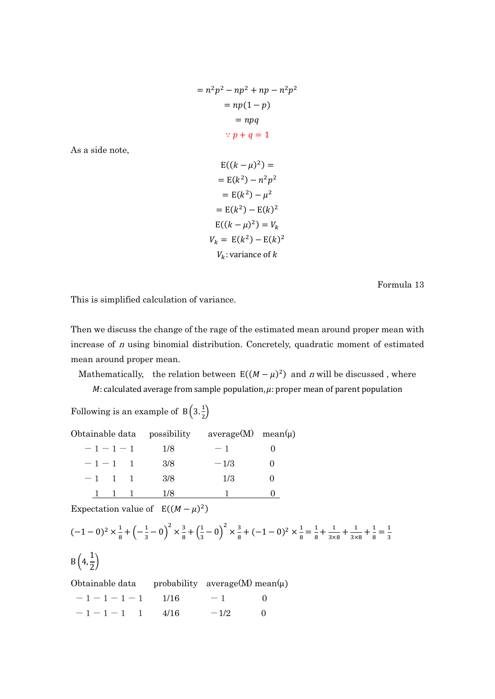$$
= n2p2 - np2 + np - n2p2
$$

$$
= np(1 - p)
$$

$$
= npq
$$

$$
\therefore p + q = 1
$$

As a side note,

$$
E((k - \mu)^2) =
$$
  
\n
$$
= E(k^2) - n^2 p^2
$$
  
\n
$$
= E(k^2) - \mu^2
$$
  
\n
$$
= E(k^2) - E(k)^2
$$
  
\n
$$
E((k - \mu)^2) = V_k
$$
  
\n
$$
V_k = E(k^2) - E(k)^2
$$
  
\n
$$
V_k
$$
: variance of k

Formula 13

This is simplified calculation of variance.

Then we discuss the change of the rage of the estimated mean around proper mean with increase of n using binomial distribution. Concretely, quadratic moment of estimated mean around proper mean.

Mathematically, the relation between  $E((M - \mu)^2)$  and *n* will be discussed, where  $M$ : calculated average from sample population,  $\mu$ : proper mean of parent population

Following is an example of  $B\left(3, \frac{1}{2}\right)$ 

| Obtainable data possibility |     | $average(M)$ mean( $\mu$ ) |  |
|-----------------------------|-----|----------------------------|--|
| $-1-1-1$                    | 1/8 | $-1$                       |  |
| $-1-1$ 1                    | 3/8 | $-1/3$                     |  |
| $-1$ 1 1                    | 3/8 | 1/3                        |  |
|                             | 178 |                            |  |

Expectation value of  $E((M - \mu)^2)$ 

$$
(-1-0)^2 \times \frac{1}{8} + \left(-\frac{1}{3}-0\right)^2 \times \frac{3}{8} + \left(\frac{1}{3}-0\right)^2 \times \frac{3}{8} + (-1-0)^2 \times \frac{1}{8} = \frac{1}{8} + \frac{1}{3 \times 8} + \frac{1}{3 \times 8} + \frac{1}{8} = \frac{1}{3}
$$

$$
B\left(4,\frac{1}{2}\right)
$$

Obtainable data probability average(M) mean $(\mu)$ 

| $-1-1-1-1$ 1/16 |  | $-1$ 0   |  |
|-----------------|--|----------|--|
| $-1-1-1$ 1 4/16 |  | $-1/2$ 0 |  |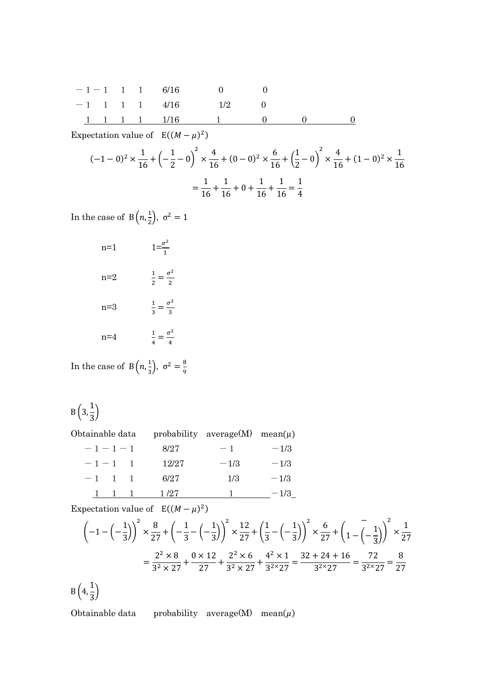|  |  | $-1-1$ 1 1 6/16 0 0      |  |  |
|--|--|--------------------------|--|--|
|  |  | $-1$ 1 1 1 4/16 1/2 0    |  |  |
|  |  | 1 1 1 1 1/16 1 1 0 0 0 0 |  |  |

Expectation value of  $E((M - \mu)^2)$ 

$$
(-1-0)^2 \times \frac{1}{16} + \left(-\frac{1}{2}-0\right)^2 \times \frac{4}{16} + (0-0)^2 \times \frac{6}{16} + \left(\frac{1}{2}-0\right)^2 \times \frac{4}{16} + (1-0)^2 \times \frac{1}{16}
$$

$$
= \frac{1}{16} + \frac{1}{16} + 0 + \frac{1}{16} + \frac{1}{16} = \frac{1}{4}
$$

In the case of  $B(n,\frac{1}{2})$  $\frac{1}{2}$ ,  $\sigma^2 = 1$ 

| $n=1$   | $1=\frac{\sigma^2}{1}$             |
|---------|------------------------------------|
| $n=2$   | $\frac{1}{2} = \frac{\sigma^2}{2}$ |
| n=3     | $\frac{1}{3} = \frac{\sigma^2}{3}$ |
| $n = 4$ | $\frac{1}{4} = \frac{\sigma^2}{4}$ |

In the case of  $B(n,\frac{1}{2})$  $\frac{1}{3}$ ,  $\sigma^2 = \frac{8}{9}$ ଽ

$$
B\left(3,\frac{1}{3}\right)
$$

Obtainable data probability average $(M)$  mean $(\mu)$ 

| $-1-1-1$               | 8/27  | $-1$   | $-1/3$ |
|------------------------|-------|--------|--------|
| $-1-1$                 | 12/27 | $-1/3$ | $-1/3$ |
| $-1$<br>$\overline{1}$ | 6/27  | 1/3    | $-1/3$ |
|                        | 1 /27 |        | $-1/3$ |

Expectation value of  $E((M - \mu)^2)$ 

$$
\left(-1 - \left(-\frac{1}{3}\right)\right)^2 \times \frac{8}{27} + \left(-\frac{1}{3} - \left(-\frac{1}{3}\right)\right)^2 \times \frac{12}{27} + \left(\frac{1}{3} - \left(-\frac{1}{3}\right)\right)^2 \times \frac{6}{27} + \left(1 - \left(-\frac{1}{3}\right)\right)^2 \times \frac{1}{27}
$$

$$
= \frac{2^2 \times 8}{3^2 \times 27} + \frac{0 \times 12}{27} + \frac{2^2 \times 6}{3^2 \times 27} + \frac{4^2 \times 1}{3^2 \times 27} = \frac{32 + 24 + 16}{3^{2 \times 27}} = \frac{72}{3^{2 \times 27}} = \frac{8}{27}
$$

 $B(4,$  $\frac{1}{3}$ 

Obtainable data probability average(M) mean $(\mu)$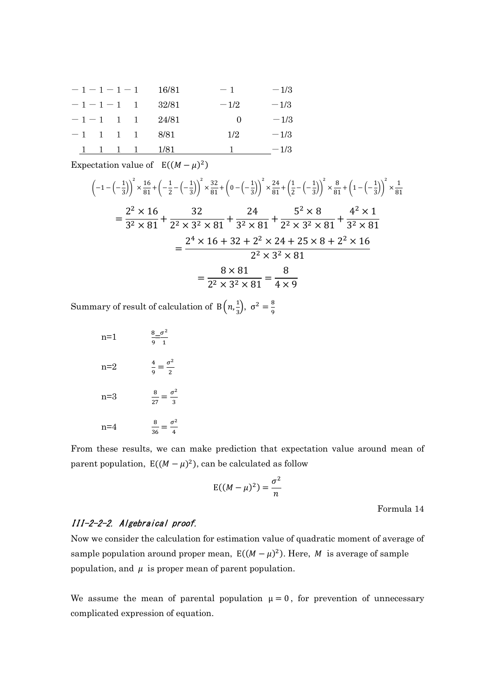| $-1-1-1-1$ |  | 16/81 | $-1$     | $-1/3$ |  |
|------------|--|-------|----------|--------|--|
| $-1-1-1$ 1 |  | 32/81 | $-1/2$   | $-1/3$ |  |
| $-1-1$ 1 1 |  | 24/81 | $\theta$ | $-1/3$ |  |
| $-1$ 1 1 1 |  | 8/81  | 1/2      | $-1/3$ |  |
|            |  | 1/81  |          | $-1/3$ |  |

Expectation value of  $E((M - \mu)^2)$ 

$$
\left(-1 - \left(-\frac{1}{3}\right)\right)^2 \times \frac{16}{81} + \left(-\frac{1}{2} - \left(-\frac{1}{3}\right)\right)^2 \times \frac{32}{81} + \left(0 - \left(-\frac{1}{3}\right)\right)^2 \times \frac{24}{81} + \left(\frac{1}{2} - \left(-\frac{1}{3}\right)\right)^2 \times \frac{8}{81} + \left(1 - \left(-\frac{1}{3}\right)\right)^2 \times \frac{1}{81}
$$
\n
$$
= \frac{2^2 \times 16}{3^2 \times 81} + \frac{32}{2^2 \times 3^2 \times 81} + \frac{24}{3^2 \times 81} + \frac{5^2 \times 8}{2^2 \times 3^2 \times 81} + \frac{4^2 \times 1}{3^2 \times 81}
$$
\n
$$
= \frac{2^4 \times 16 + 32 + 2^2 \times 24 + 25 \times 8 + 2^2 \times 16}{2^2 \times 3^2 \times 81}
$$
\n
$$
= \frac{8 \times 81}{2^2 \times 3^2 \times 81} = \frac{8}{4 \times 9}
$$

Summary of result of calculation of  $B(n, \frac{1}{2})$  $\frac{1}{3}$ ,  $\sigma^2 = \frac{8}{9}$ ଽ

| $n=1$   | $\frac{8-\sigma^2}{\sigma^2}$<br>q.<br>່າ |
|---------|-------------------------------------------|
| $n=2$   | $\frac{4}{9} = \frac{\sigma^2}{2}$        |
| $n = 3$ | $\frac{8}{27} = \frac{\sigma^2}{3}$       |
| $n = 4$ | $\frac{8}{36} = \frac{\sigma^2}{4}$       |

From these results, we can make prediction that expectation value around mean of parent population,  $E((M - \mu)^2)$ , can be calculated as follow

$$
E((M - \mu)^2) = \frac{\sigma^2}{n}
$$

Formula 14

## III-2-2-2. Algebraical proof.

Now we consider the calculation for estimation value of quadratic moment of average of sample population around proper mean,  $E((M - \mu)^2)$ . Here, M is average of sample population, and  $\mu$  is proper mean of parent population.

We assume the mean of parental population  $\mu = 0$ , for prevention of unnecessary complicated expression of equation.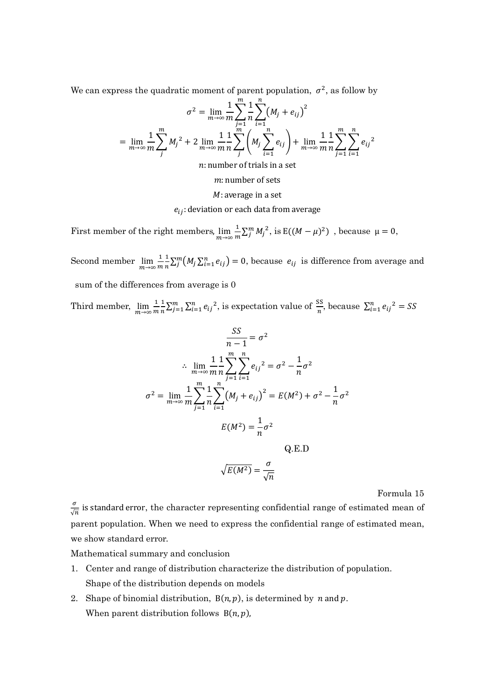We can express the quadratic moment of parent population,  $\sigma^2$ , as follow by

$$
\sigma^{2} = \lim_{m \to \infty} \frac{1}{m} \sum_{j=1}^{m} \frac{1}{n} \sum_{i=1}^{n} (M_{j} + e_{ij})^{2}
$$
  
= 
$$
\lim_{m \to \infty} \frac{1}{m} \sum_{j}^{m} M_{j}^{2} + 2 \lim_{m \to \infty} \frac{1}{m} \sum_{j}^{m} \left( M_{j} \sum_{i=1}^{n} e_{ij} \right) + \lim_{m \to \infty} \frac{1}{m} \sum_{j=1}^{m} \sum_{i=1}^{n} e_{ij}^{2}
$$

 $n:$  number of trials in a set

 $m:$  number of sets

 $M$ : average in a set

 $e_{ij}$ : deviation or each data from average

First member of the right members,  $\lim_{m\to\infty} \frac{1}{m}$  $\frac{1}{m}\sum_{j=1}^{m} M_j^2$ , is  $E((M - \mu)^2)$ , because  $\mu = 0$ ,

Second member  $\lim_{m\to\infty} \frac{1}{m}$  $\boldsymbol{m}$  $\mathbf 1$  $\frac{1}{n}\sum_{j=1}^{m} (M_j \sum_{i=1}^{n} e_{ij}) = 0$ , because  $e_{ij}$  is difference from average and sum of the differences from average is 0

Third member,  $\lim_{m \to \infty} \frac{1}{m}$  $\,m$  $\mathbf 1$  $\frac{1}{n}\sum_{j=1}^{m} \sum_{i=1}^{n} e_{ij}^{2}$ , is expectation value of  $\frac{SS}{n}$ , because  $\sum_{i=1}^{n} e_{ij}^{2} = SS$ 

$$
\frac{SS}{n-1} = \sigma^2
$$
  
\n
$$
\therefore \lim_{m \to \infty} \frac{1}{m} \sum_{j=1}^{m} \sum_{i=1}^{n} e_{ij}^2 = \sigma^2 - \frac{1}{n} \sigma^2
$$
  
\n
$$
\sigma^2 = \lim_{m \to \infty} \frac{1}{m} \sum_{j=1}^{m} \frac{1}{n} \sum_{i=1}^{n} (M_j + e_{ij})^2 = E(M^2) + \sigma^2 - \frac{1}{n} \sigma^2
$$
  
\n
$$
E(M^2) = \frac{1}{n} \sigma^2
$$
  
\nQ.E.D  
\n
$$
\sqrt{E(M^2)} = \frac{\sigma}{\sqrt{n}}
$$

Formula 15

 $\sigma$  $\frac{\sigma}{\sqrt{n}}$  is standard error, the character representing confidential range of estimated mean of parent population. When we need to express the confidential range of estimated mean, we show standard error.

Mathematical summary and conclusion

- 1. Center and range of distribution characterize the distribution of population. Shape of the distribution depends on models
- 2. Shape of binomial distribution,  $B(n, p)$ , is determined by *n* and *p*. When parent distribution follows  $B(n, p)$ ,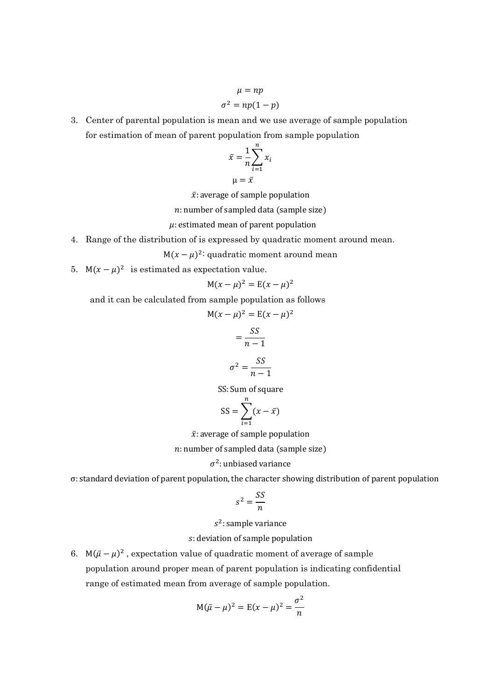$$
\mu = np
$$

$$
\sigma^2 = np(1-p)
$$

3. Center of parental population is mean and we use average of sample population for estimation of mean of parent population from sample population

$$
\bar{x} = \frac{1}{n} \sum_{i=1}^{n} x_i
$$

 $\mu = \bar{x}$ 

 $\bar{x}$ : average of sample population

 $n:$  number of sampled data (sample size)

 $\mu$ : estimated mean of parent population

4. Range of the distribution of is expressed by quadratic moment around mean.

 $M(x - \mu)^2$ : quadratic moment around mean

5.  $M(x - \mu)^2$  is estimated as expectation value.

$$
M(x - \mu)^2 = E(x - \mu)^2
$$

and it can be calculated from sample population as follows

$$
M(x - \mu)^2 = E(x - \mu)^2
$$

$$
= \frac{SS}{n - 1}
$$

$$
\sigma^2 = \frac{SS}{n - 1}
$$

SS: Sum of square

$$
SS = \sum_{i=1}^{n} (x - \bar{x})
$$

 $\bar{x}$ : average of sample population

 $n:$  number of sampled data (sample size)

## $\sigma^2$ : unbiased variance

σ: standard deviation of parent population, the character showing distribution of parent population

$$
s^2 = \frac{SS}{n}
$$

 $s^2$ : sample variance

### : deviation of sample population

6. M $(\bar{\mu} - \mu)^2$ , expectation value of quadratic moment of average of sample population around proper mean of parent population is indicating confidential range of estimated mean from average of sample population.

$$
M(\bar{\mu} - \mu)^2 = E(x - \mu)^2 = \frac{\sigma^2}{n}
$$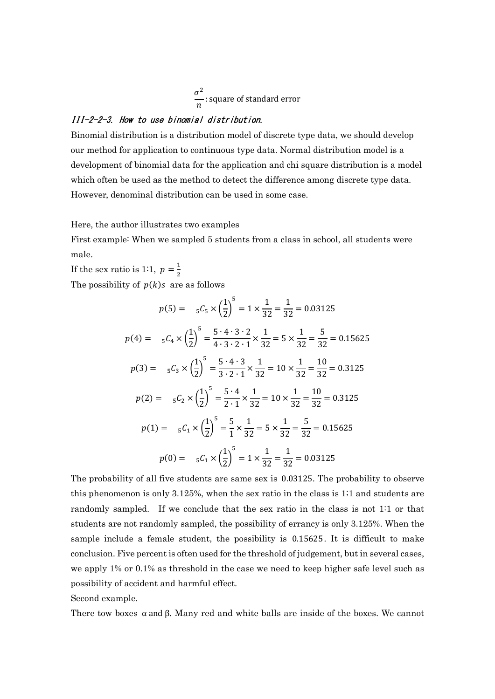$$
\frac{\sigma^2}{n}
$$
: square of standard error

## III-2-2-3. How to use binomial distribution.

Binomial distribution is a distribution model of discrete type data, we should develop our method for application to continuous type data. Normal distribution model is a development of binomial data for the application and chi square distribution is a model which often be used as the method to detect the difference among discrete type data. However, denominal distribution can be used in some case.

Here, the author illustrates two examples

First example: When we sampled 5 students from a class in school, all students were male.

If the sex ratio is 1:1,  $p = \frac{1}{2}$  $\frac{1}{2}$ The possibility of  $p(k)$ s are as follows

$$
p(5) = {}_{5}C_{5} \times \left(\frac{1}{2}\right)^{5} = 1 \times \frac{1}{32} = \frac{1}{32} = 0.03125
$$
  
\n
$$
p(4) = {}_{5}C_{4} \times \left(\frac{1}{2}\right)^{5} = \frac{5 \cdot 4 \cdot 3 \cdot 2}{4 \cdot 3 \cdot 2 \cdot 1} \times \frac{1}{32} = 5 \times \frac{1}{32} = \frac{5}{32} = 0.15625
$$
  
\n
$$
p(3) = {}_{5}C_{3} \times \left(\frac{1}{2}\right)^{5} = \frac{5 \cdot 4 \cdot 3}{3 \cdot 2 \cdot 1} \times \frac{1}{32} = 10 \times \frac{1}{32} = \frac{10}{32} = 0.3125
$$
  
\n
$$
p(2) = {}_{5}C_{2} \times \left(\frac{1}{2}\right)^{5} = \frac{5 \cdot 4}{2 \cdot 1} \times \frac{1}{32} = 10 \times \frac{1}{32} = \frac{10}{32} = 0.3125
$$
  
\n
$$
p(1) = {}_{5}C_{1} \times \left(\frac{1}{2}\right)^{5} = \frac{5}{1} \times \frac{1}{32} = 5 \times \frac{1}{32} = \frac{5}{32} = 0.15625
$$
  
\n
$$
p(0) = {}_{5}C_{1} \times \left(\frac{1}{2}\right)^{5} = 1 \times \frac{1}{32} = \frac{1}{32} = 0.03125
$$

The probability of all five students are same sex is 0.03125. The probability to observe this phenomenon is only 3.125%, when the sex ratio in the class is 1;1 and students are randomly sampled. If we conclude that the sex ratio in the class is not 1:1 or that students are not randomly sampled, the possibility of errancy is only 3.125%. When the sample include a female student, the possibility is 0.15625. It is difficult to make conclusion. Five percent is often used for the threshold of judgement, but in several cases, we apply 1% or 0.1% as threshold in the case we need to keep higher safe level such as possibility of accident and harmful effect.

Second example.

There tow boxes  $\alpha$  and  $\beta$ . Many red and white balls are inside of the boxes. We cannot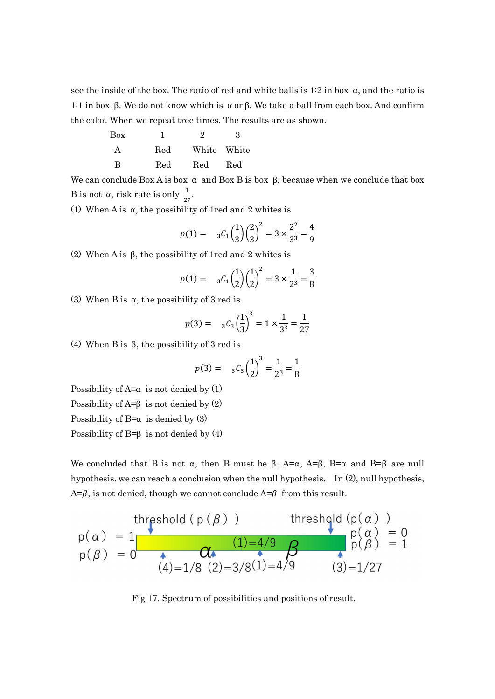see the inside of the box. The ratio of red and white balls is  $1:2$  in box  $\alpha$ , and the ratio is 1:1 in box β. We do not know which is  $\alpha$  or β. We take a ball from each box. And confirm the color. When we repeat tree times. The results are as shown.

| Box |     | 9               | З   |
|-----|-----|-----------------|-----|
|     |     | Red White White |     |
| R   | Red | Red             | Red |

We can conclude Box A is box  $\alpha$  and Box B is box  $\beta$ , because when we conclude that box B is not  $\alpha$ , risk rate is only  $\frac{1}{27}$ .

(1) When A is  $\alpha$ , the possibility of 1red and 2 whites is

$$
p(1) = \quad {}_{3}C_{1}\left(\frac{1}{3}\right)\left(\frac{2}{3}\right)^{2} = 3 \times \frac{2^{2}}{3^{3}} = \frac{4}{9}
$$

(2) When A is β, the possibility of 1red and 2 whites is

$$
p(1) = \quad {}_{3}C_{1}\left(\frac{1}{2}\right)\left(\frac{1}{2}\right)^{2} = 3 \times \frac{1}{2^{3}} = \frac{3}{8}
$$

(3) When B is  $\alpha$ , the possibility of 3 red is

$$
p(3) = \, 3\mathcal{C}_3 \left(\frac{1}{3}\right)^3 = 1 \times \frac{1}{3^3} = \frac{1}{27}
$$

(4) When B is β, the possibility of 3 red is

$$
p(3) = \binom{3}{3} \left(\frac{1}{2}\right)^3 = \frac{1}{2^3} = \frac{1}{8}
$$

Possibility of  $A = \alpha$  is not denied by (1)

Possibility of  $A = \beta$  is not denied by (2)

Possibility of B= $\alpha$  is denied by (3)

Possibility of B= $\beta$  is not denied by (4)

We concluded that B is not  $\alpha$ , then B must be  $\beta$ . A= $\alpha$ , A= $\beta$ , B= $\alpha$  and B= $\beta$  are null hypothesis. we can reach a conclusion when the null hypothesis. In (2), null hypothesis,  $A=\beta$ , is not denied, though we cannot conclude  $A=\beta$  from this result.

$$
p(\alpha) = 1
$$
  
\n
$$
p(\beta) = 0
$$
  
\n
$$
p(\beta) = 0
$$
  
\n
$$
p(\beta) = 0
$$
  
\n
$$
p(\beta) = 1/8 (2)=3/8(1)=4/9
$$
  
\n
$$
p(\beta) = 1
$$
  
\n
$$
p(\beta) = 1
$$
  
\n
$$
p(\beta) = 1
$$
  
\n
$$
p(\beta) = 1
$$
  
\n
$$
p(\beta) = 1
$$
  
\n
$$
p(\beta) = 1
$$

Fig 17. Spectrum of possibilities and positions of result.